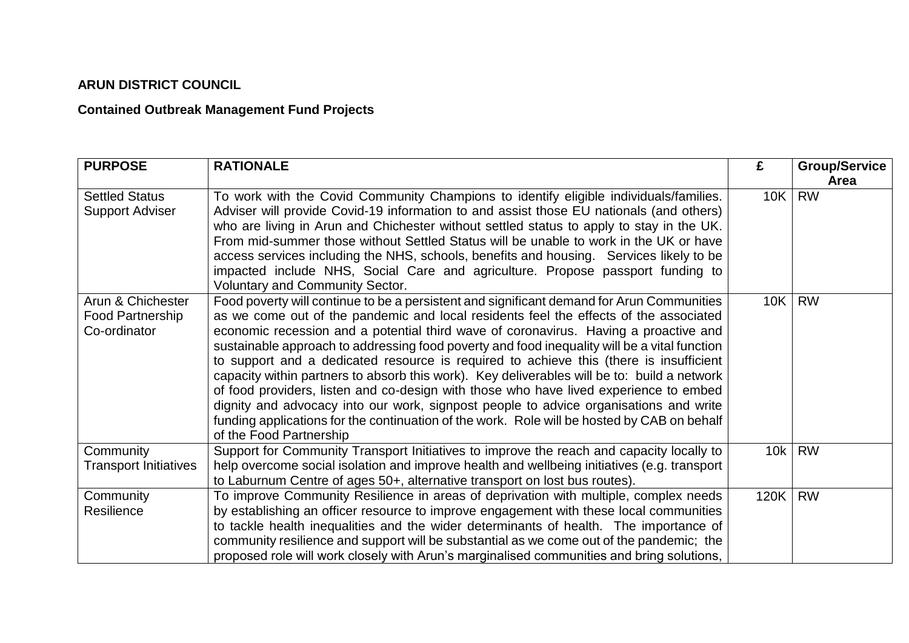## **ARUN DISTRICT COUNCIL**

## **Contained Outbreak Management Fund Projects**

| <b>PURPOSE</b>                                        | <b>RATIONALE</b>                                                                                                                                                                                                                                                                                                                                                                                                                                                                                                                                                                                                                                                                                                                                                                                                                                                                | £    | <b>Group/Service</b><br>Area |
|-------------------------------------------------------|---------------------------------------------------------------------------------------------------------------------------------------------------------------------------------------------------------------------------------------------------------------------------------------------------------------------------------------------------------------------------------------------------------------------------------------------------------------------------------------------------------------------------------------------------------------------------------------------------------------------------------------------------------------------------------------------------------------------------------------------------------------------------------------------------------------------------------------------------------------------------------|------|------------------------------|
| <b>Settled Status</b><br><b>Support Adviser</b>       | To work with the Covid Community Champions to identify eligible individuals/families.<br>Adviser will provide Covid-19 information to and assist those EU nationals (and others)<br>who are living in Arun and Chichester without settled status to apply to stay in the UK.<br>From mid-summer those without Settled Status will be unable to work in the UK or have<br>access services including the NHS, schools, benefits and housing. Services likely to be<br>impacted include NHS, Social Care and agriculture. Propose passport funding to<br><b>Voluntary and Community Sector.</b>                                                                                                                                                                                                                                                                                    | 10K  | <b>RW</b>                    |
| Arun & Chichester<br>Food Partnership<br>Co-ordinator | Food poverty will continue to be a persistent and significant demand for Arun Communities<br>as we come out of the pandemic and local residents feel the effects of the associated<br>economic recession and a potential third wave of coronavirus. Having a proactive and<br>sustainable approach to addressing food poverty and food inequality will be a vital function<br>to support and a dedicated resource is required to achieve this (there is insufficient<br>capacity within partners to absorb this work). Key deliverables will be to: build a network<br>of food providers, listen and co-design with those who have lived experience to embed<br>dignity and advocacy into our work, signpost people to advice organisations and write<br>funding applications for the continuation of the work. Role will be hosted by CAB on behalf<br>of the Food Partnership | 10K  | <b>RW</b>                    |
| Community<br><b>Transport Initiatives</b>             | Support for Community Transport Initiatives to improve the reach and capacity locally to<br>help overcome social isolation and improve health and wellbeing initiatives (e.g. transport<br>to Laburnum Centre of ages 50+, alternative transport on lost bus routes).                                                                                                                                                                                                                                                                                                                                                                                                                                                                                                                                                                                                           | 10k  | <b>RW</b>                    |
| Community<br>Resilience                               | To improve Community Resilience in areas of deprivation with multiple, complex needs<br>by establishing an officer resource to improve engagement with these local communities<br>to tackle health inequalities and the wider determinants of health. The importance of<br>community resilience and support will be substantial as we come out of the pandemic; the<br>proposed role will work closely with Arun's marginalised communities and bring solutions,                                                                                                                                                                                                                                                                                                                                                                                                                | 120K | <b>RW</b>                    |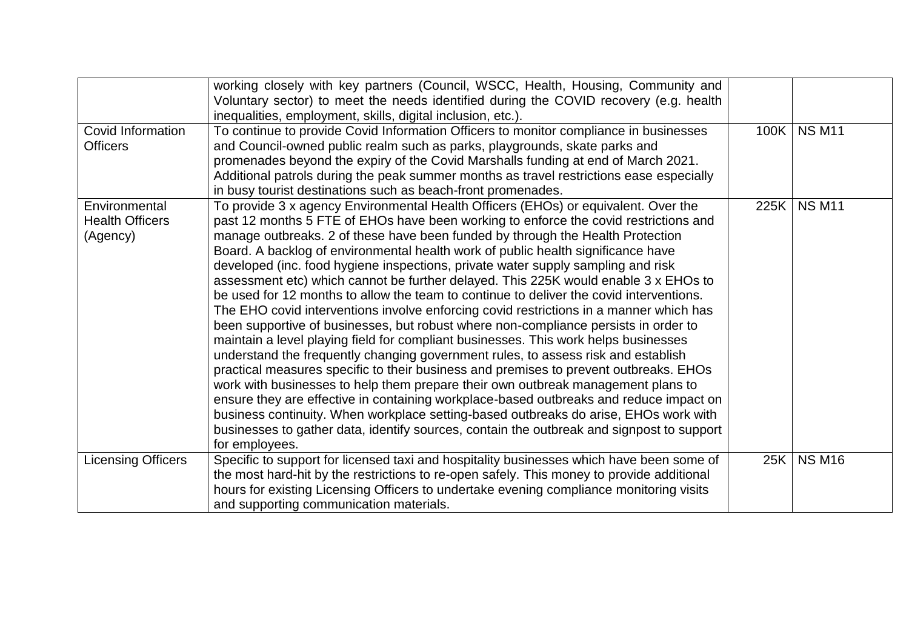|                                                     | working closely with key partners (Council, WSCC, Health, Housing, Community and<br>Voluntary sector) to meet the needs identified during the COVID recovery (e.g. health<br>inequalities, employment, skills, digital inclusion, etc.).                                                                                                                                                                                                                                                                                                                                                                                                                                                                                                                                                                                                                                                                                                                                                                                                                                                                                                                                                                                                                                                                                                                                                                                                                          |      |               |
|-----------------------------------------------------|-------------------------------------------------------------------------------------------------------------------------------------------------------------------------------------------------------------------------------------------------------------------------------------------------------------------------------------------------------------------------------------------------------------------------------------------------------------------------------------------------------------------------------------------------------------------------------------------------------------------------------------------------------------------------------------------------------------------------------------------------------------------------------------------------------------------------------------------------------------------------------------------------------------------------------------------------------------------------------------------------------------------------------------------------------------------------------------------------------------------------------------------------------------------------------------------------------------------------------------------------------------------------------------------------------------------------------------------------------------------------------------------------------------------------------------------------------------------|------|---------------|
| Covid Information<br><b>Officers</b>                | To continue to provide Covid Information Officers to monitor compliance in businesses<br>and Council-owned public realm such as parks, playgrounds, skate parks and<br>promenades beyond the expiry of the Covid Marshalls funding at end of March 2021.<br>Additional patrols during the peak summer months as travel restrictions ease especially<br>in busy tourist destinations such as beach-front promenades.                                                                                                                                                                                                                                                                                                                                                                                                                                                                                                                                                                                                                                                                                                                                                                                                                                                                                                                                                                                                                                               | 100K | <b>NS M11</b> |
| Environmental<br><b>Health Officers</b><br>(Agency) | To provide 3 x agency Environmental Health Officers (EHOs) or equivalent. Over the<br>past 12 months 5 FTE of EHOs have been working to enforce the covid restrictions and<br>manage outbreaks. 2 of these have been funded by through the Health Protection<br>Board. A backlog of environmental health work of public health significance have<br>developed (inc. food hygiene inspections, private water supply sampling and risk<br>assessment etc) which cannot be further delayed. This 225K would enable 3 x EHOs to<br>be used for 12 months to allow the team to continue to deliver the covid interventions.<br>The EHO covid interventions involve enforcing covid restrictions in a manner which has<br>been supportive of businesses, but robust where non-compliance persists in order to<br>maintain a level playing field for compliant businesses. This work helps businesses<br>understand the frequently changing government rules, to assess risk and establish<br>practical measures specific to their business and premises to prevent outbreaks. EHOs<br>work with businesses to help them prepare their own outbreak management plans to<br>ensure they are effective in containing workplace-based outbreaks and reduce impact on<br>business continuity. When workplace setting-based outbreaks do arise, EHOs work with<br>businesses to gather data, identify sources, contain the outbreak and signpost to support<br>for employees. | 225K | <b>NS M11</b> |
| <b>Licensing Officers</b>                           | Specific to support for licensed taxi and hospitality businesses which have been some of<br>the most hard-hit by the restrictions to re-open safely. This money to provide additional<br>hours for existing Licensing Officers to undertake evening compliance monitoring visits<br>and supporting communication materials.                                                                                                                                                                                                                                                                                                                                                                                                                                                                                                                                                                                                                                                                                                                                                                                                                                                                                                                                                                                                                                                                                                                                       | 25K  | <b>NS M16</b> |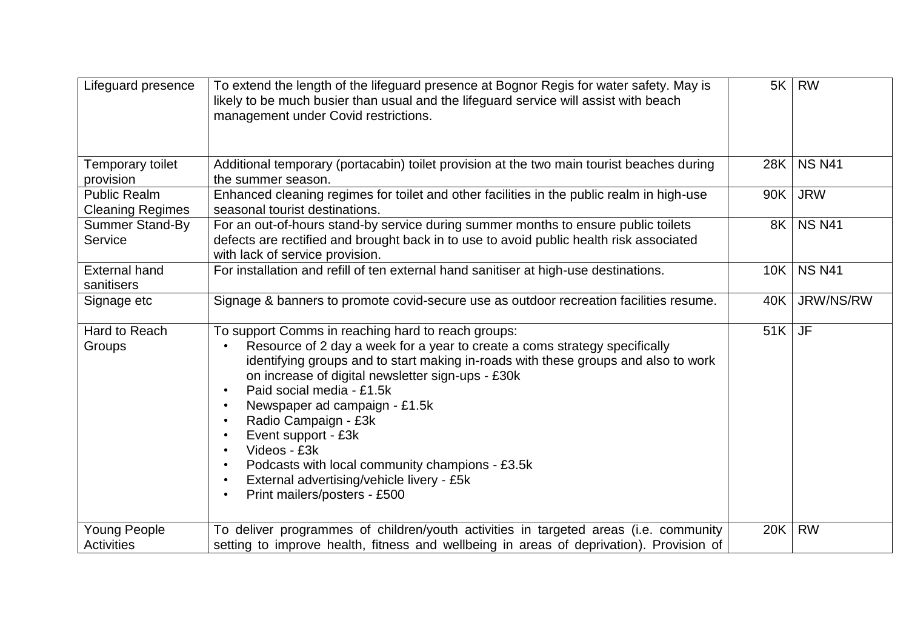| Lifeguard presence                             | To extend the length of the lifeguard presence at Bognor Regis for water safety. May is<br>likely to be much busier than usual and the lifeguard service will assist with beach<br>management under Covid restrictions.                                                                                                                                                                                                                                                                                                                                                                                                                          | 5K  | <b>RW</b>     |
|------------------------------------------------|--------------------------------------------------------------------------------------------------------------------------------------------------------------------------------------------------------------------------------------------------------------------------------------------------------------------------------------------------------------------------------------------------------------------------------------------------------------------------------------------------------------------------------------------------------------------------------------------------------------------------------------------------|-----|---------------|
| Temporary toilet<br>provision                  | Additional temporary (portacabin) toilet provision at the two main tourist beaches during<br>the summer season.                                                                                                                                                                                                                                                                                                                                                                                                                                                                                                                                  | 28K | <b>NS N41</b> |
| <b>Public Realm</b><br><b>Cleaning Regimes</b> | Enhanced cleaning regimes for toilet and other facilities in the public realm in high-use<br>seasonal tourist destinations.                                                                                                                                                                                                                                                                                                                                                                                                                                                                                                                      | 90K | <b>JRW</b>    |
| <b>Summer Stand-By</b><br>Service              | For an out-of-hours stand-by service during summer months to ensure public toilets<br>defects are rectified and brought back in to use to avoid public health risk associated<br>with lack of service provision.                                                                                                                                                                                                                                                                                                                                                                                                                                 | 8K  | <b>NS N41</b> |
| <b>External hand</b><br>sanitisers             | For installation and refill of ten external hand sanitiser at high-use destinations.                                                                                                                                                                                                                                                                                                                                                                                                                                                                                                                                                             | 10K | <b>NS N41</b> |
| Signage etc                                    | Signage & banners to promote covid-secure use as outdoor recreation facilities resume.                                                                                                                                                                                                                                                                                                                                                                                                                                                                                                                                                           | 40K | JRW/NS/RW     |
| Hard to Reach<br>Groups                        | To support Comms in reaching hard to reach groups:<br>Resource of 2 day a week for a year to create a coms strategy specifically<br>identifying groups and to start making in-roads with these groups and also to work<br>on increase of digital newsletter sign-ups - £30k<br>Paid social media - £1.5k<br>$\bullet$<br>Newspaper ad campaign - £1.5k<br>$\bullet$<br>Radio Campaign - £3k<br>$\bullet$<br>Event support - £3k<br>$\bullet$<br>Videos - £3k<br>$\bullet$<br>Podcasts with local community champions - £3.5k<br>$\bullet$<br>External advertising/vehicle livery - £5k<br>$\bullet$<br>Print mailers/posters - £500<br>$\bullet$ | 51K | <b>JF</b>     |
| <b>Young People</b><br><b>Activities</b>       | To deliver programmes of children/youth activities in targeted areas (i.e. community<br>setting to improve health, fitness and wellbeing in areas of deprivation). Provision of                                                                                                                                                                                                                                                                                                                                                                                                                                                                  | 20K | <b>RW</b>     |